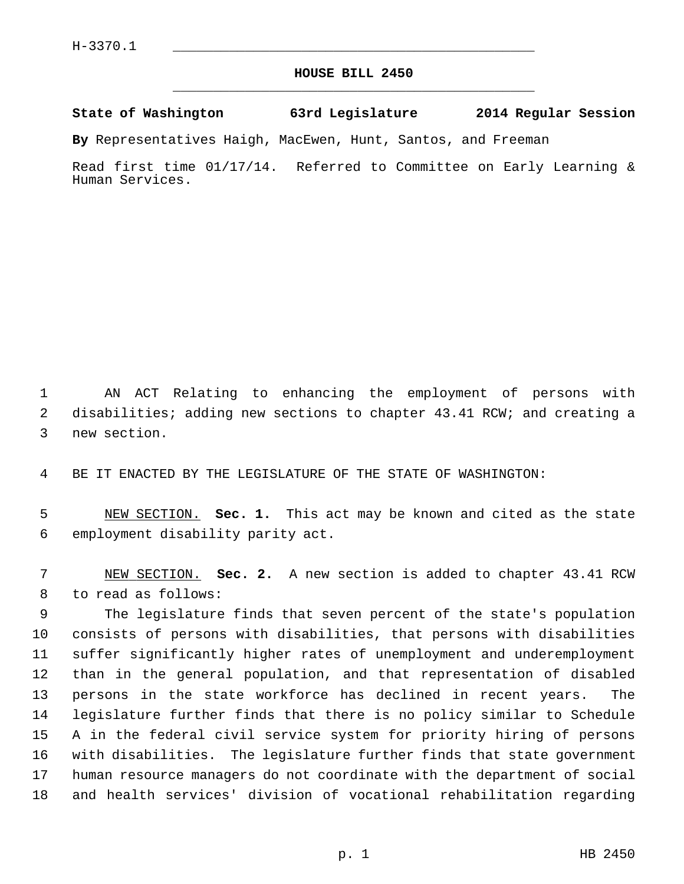## **HOUSE BILL 2450** \_\_\_\_\_\_\_\_\_\_\_\_\_\_\_\_\_\_\_\_\_\_\_\_\_\_\_\_\_\_\_\_\_\_\_\_\_\_\_\_\_\_\_\_\_

## **State of Washington 63rd Legislature 2014 Regular Session**

**By** Representatives Haigh, MacEwen, Hunt, Santos, and Freeman

Read first time 01/17/14. Referred to Committee on Early Learning & Human Services.

 1 AN ACT Relating to enhancing the employment of persons with 2 disabilities; adding new sections to chapter 43.41 RCW; and creating a 3 new section.

4 BE IT ENACTED BY THE LEGISLATURE OF THE STATE OF WASHINGTON:

 5 NEW SECTION. **Sec. 1.** This act may be known and cited as the state 6 employment disability parity act.

 7 NEW SECTION. **Sec. 2.** A new section is added to chapter 43.41 RCW 8 to read as follows:

 9 The legislature finds that seven percent of the state's population 10 consists of persons with disabilities, that persons with disabilities 11 suffer significantly higher rates of unemployment and underemployment 12 than in the general population, and that representation of disabled 13 persons in the state workforce has declined in recent years. The 14 legislature further finds that there is no policy similar to Schedule 15 A in the federal civil service system for priority hiring of persons 16 with disabilities. The legislature further finds that state government 17 human resource managers do not coordinate with the department of social 18 and health services' division of vocational rehabilitation regarding